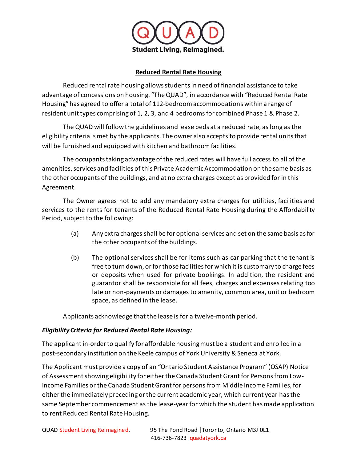

## **Reduced Rental Rate Housing**

Reduced rental rate housing allows students in need of financial assistance to take advantage of concessions on housing. "The QUAD", in accordance with "Reduced Rental Rate Housing" has agreed to offer a total of 112-bedroom accommodations within a range of resident unit types comprising of 1, 2, 3, and 4 bedroomsfor combined Phase 1 & Phase 2.

The QUAD will follow the guidelines and lease beds at a reduced rate, as long as the eligibility criteria is met by the applicants. The owner also accepts to provide rental units that will be furnished and equipped with kitchen and bathroom facilities.

The occupants taking advantage of the reduced rates will have full access to all of the amenities, services and facilities of this Private Academic Accommodation on the same basis as the other occupants of the buildings, and at no extra charges except as provided for in this Agreement.

The Owner agrees not to add any mandatory extra charges for utilities, facilities and services to the rents for tenants of the Reduced Rental Rate Housing during the Affordability Period, subject to the following:

- (a) Any extra charges shall be for optional services and set on the same basis as for the other occupants of the buildings.
- (b) The optional services shall be for items such as car parking that the tenant is free to turn down, or for those facilities for which it is customary to charge fees or deposits when used for private bookings. In addition, the resident and guarantor shall be responsible for all fees, charges and expenses relating too late or non-payments or damages to amenity, common area, unit or bedroom space, as defined in the lease.

Applicants acknowledge that the lease is for a twelve-month period.

# *Eligibility Criteria for Reduced Rental Rate Housing:*

The applicant in-order to qualify for affordable housing must be a student and enrolled in a post-secondary institution on the Keele campus of York University & Seneca at York.

The Applicant must provide a copy of an "Ontario Student Assistance Program" (OSAP) Notice of Assessment showing eligibility for either the Canada Student Grant for Persons from Low-Income Families or the Canada Student Grant for persons from Middle Income Families, for either the immediately preceding or the current academic year, which current year has the same September commencement as the lease-year for which the student has made application to rent Reduced Rental Rate Housing.